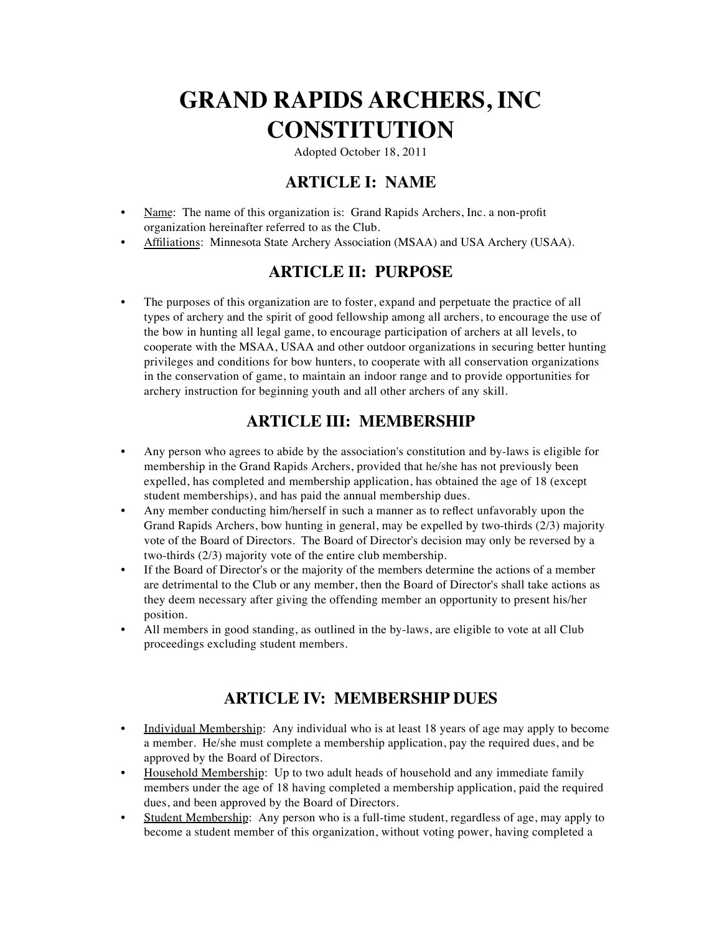# **GRAND RAPIDS ARCHERS, INC CONSTITUTION**

Adopted October 18, 2011

### **ARTICLE I: NAME**

- Name: The name of this organization is: Grand Rapids Archers, Inc. a non-profit organization hereinafter referred to as the Club.
- Affiliations: Minnesota State Archery Association (MSAA) and USA Archery (USAA).

### **ARTICLE II: PURPOSE**

• The purposes of this organization are to foster, expand and perpetuate the practice of all types of archery and the spirit of good fellowship among all archers, to encourage the use of the bow in hunting all legal game, to encourage participation of archers at all levels, to cooperate with the MSAA, USAA and other outdoor organizations in securing better hunting privileges and conditions for bow hunters, to cooperate with all conservation organizations in the conservation of game, to maintain an indoor range and to provide opportunities for archery instruction for beginning youth and all other archers of any skill.

# **ARTICLE III: MEMBERSHIP**

- Any person who agrees to abide by the association's constitution and by-laws is eligible for membership in the Grand Rapids Archers, provided that he/she has not previously been expelled, has completed and membership application, has obtained the age of 18 (except student memberships), and has paid the annual membership dues.
- Any member conducting him/herself in such a manner as to reflect unfavorably upon the Grand Rapids Archers, bow hunting in general, may be expelled by two-thirds (2/3) majority vote of the Board of Directors. The Board of Director's decision may only be reversed by a two-thirds (2/3) majority vote of the entire club membership.
- If the Board of Director's or the majority of the members determine the actions of a member are detrimental to the Club or any member, then the Board of Director's shall take actions as they deem necessary after giving the offending member an opportunity to present his/her position.
- All members in good standing, as outlined in the by-laws, are eligible to vote at all Club proceedings excluding student members.

### **ARTICLE IV: MEMBERSHIP DUES**

- Individual Membership: Any individual who is at least 18 years of age may apply to become a member. He/she must complete a membership application, pay the required dues, and be approved by the Board of Directors.
- Household Membership: Up to two adult heads of household and any immediate family members under the age of 18 having completed a membership application, paid the required dues, and been approved by the Board of Directors.
- Student Membership: Any person who is a full-time student, regardless of age, may apply to become a student member of this organization, without voting power, having completed a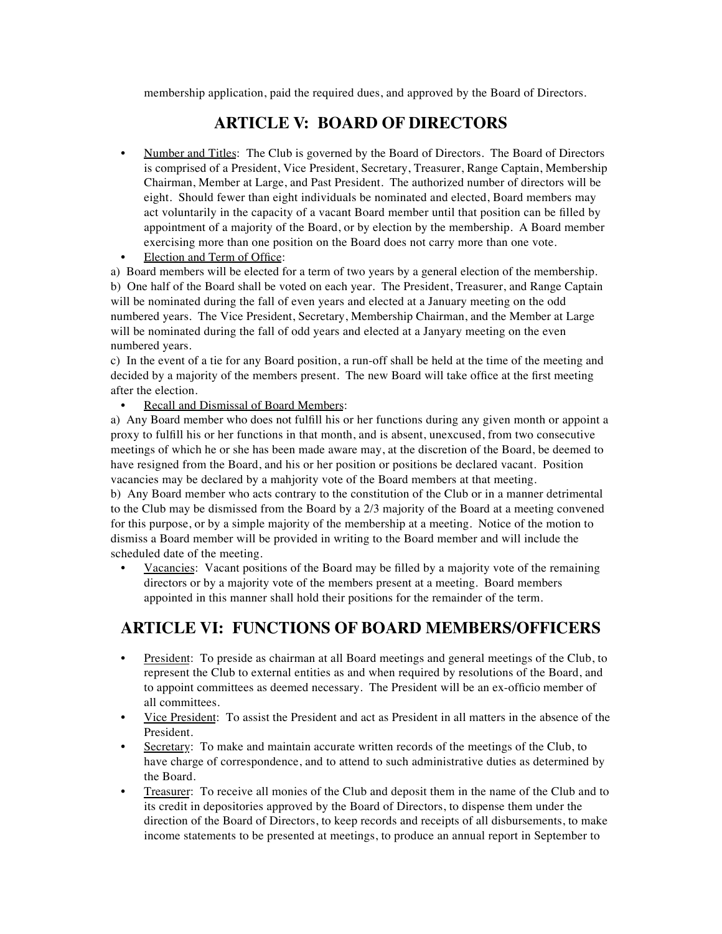membership application, paid the required dues, and approved by the Board of Directors.

### **ARTICLE V: BOARD OF DIRECTORS**

- Number and Titles: The Club is governed by the Board of Directors. The Board of Directors is comprised of a President, Vice President, Secretary, Treasurer, Range Captain, Membership Chairman, Member at Large, and Past President. The authorized number of directors will be eight. Should fewer than eight individuals be nominated and elected, Board members may act voluntarily in the capacity of a vacant Board member until that position can be filled by appointment of a majority of the Board, or by election by the membership. A Board member exercising more than one position on the Board does not carry more than one vote.
- Election and Term of Office:

a) Board members will be elected for a term of two years by a general election of the membership. b) One half of the Board shall be voted on each year. The President, Treasurer, and Range Captain will be nominated during the fall of even years and elected at a January meeting on the odd numbered years. The Vice President, Secretary, Membership Chairman, and the Member at Large will be nominated during the fall of odd years and elected at a Janyary meeting on the even numbered years.

c) In the event of a tie for any Board position, a run-off shall be held at the time of the meeting and decided by a majority of the members present. The new Board will take office at the first meeting after the election.

#### Recall and Dismissal of Board Members:

a) Any Board member who does not fulfill his or her functions during any given month or appoint a proxy to fulfill his or her functions in that month, and is absent, unexcused, from two consecutive meetings of which he or she has been made aware may, at the discretion of the Board, be deemed to have resigned from the Board, and his or her position or positions be declared vacant. Position vacancies may be declared by a mahjority vote of the Board members at that meeting.

b) Any Board member who acts contrary to the constitution of the Club or in a manner detrimental to the Club may be dismissed from the Board by a 2/3 majority of the Board at a meeting convened for this purpose, or by a simple majority of the membership at a meeting. Notice of the motion to dismiss a Board member will be provided in writing to the Board member and will include the scheduled date of the meeting.

• Vacancies: Vacant positions of the Board may be filled by a majority vote of the remaining directors or by a majority vote of the members present at a meeting. Board members appointed in this manner shall hold their positions for the remainder of the term.

### **ARTICLE VI: FUNCTIONS OF BOARD MEMBERS/OFFICERS**

- President: To preside as chairman at all Board meetings and general meetings of the Club, to represent the Club to external entities as and when required by resolutions of the Board, and to appoint committees as deemed necessary. The President will be an ex-officio member of all committees.
- Vice President: To assist the President and act as President in all matters in the absence of the President.
- Secretary: To make and maintain accurate written records of the meetings of the Club, to have charge of correspondence, and to attend to such administrative duties as determined by the Board.
- Treasurer: To receive all monies of the Club and deposit them in the name of the Club and to its credit in depositories approved by the Board of Directors, to dispense them under the direction of the Board of Directors, to keep records and receipts of all disbursements, to make income statements to be presented at meetings, to produce an annual report in September to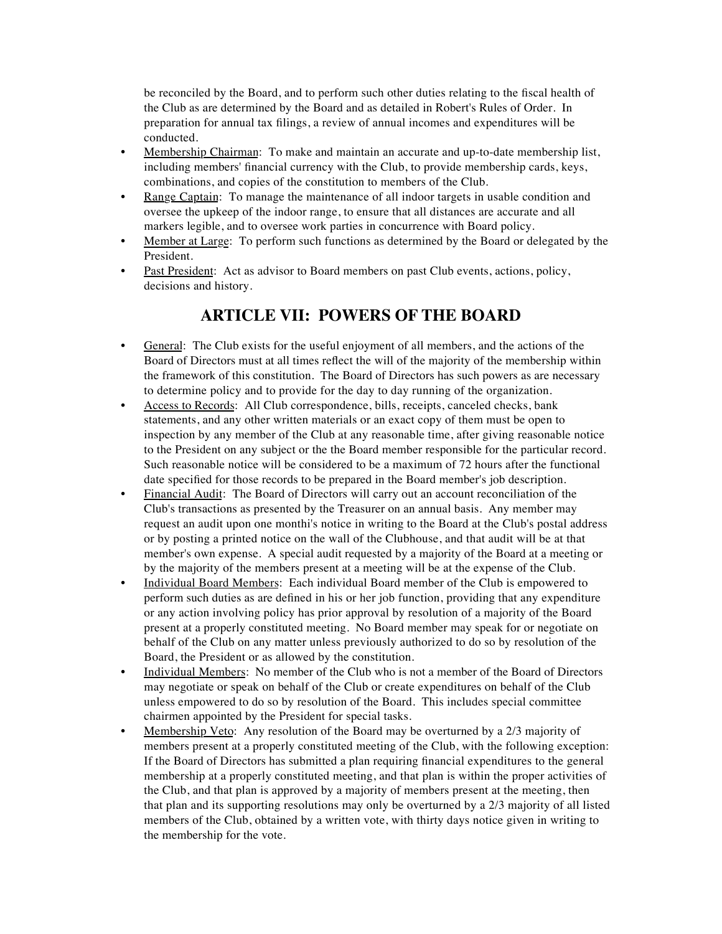be reconciled by the Board, and to perform such other duties relating to the fiscal health of the Club as are determined by the Board and as detailed in Robert's Rules of Order. In preparation for annual tax filings, a review of annual incomes and expenditures will be conducted.

- Membership Chairman: To make and maintain an accurate and up-to-date membership list, including members' financial currency with the Club, to provide membership cards, keys, combinations, and copies of the constitution to members of the Club.
- Range Captain: To manage the maintenance of all indoor targets in usable condition and oversee the upkeep of the indoor range, to ensure that all distances are accurate and all markers legible, and to oversee work parties in concurrence with Board policy.
- Member at Large: To perform such functions as determined by the Board or delegated by the President.
- Past President: Act as advisor to Board members on past Club events, actions, policy, decisions and history.

### **ARTICLE VII: POWERS OF THE BOARD**

- General: The Club exists for the useful enjoyment of all members, and the actions of the Board of Directors must at all times reflect the will of the majority of the membership within the framework of this constitution. The Board of Directors has such powers as are necessary to determine policy and to provide for the day to day running of the organization.
- Access to Records: All Club correspondence, bills, receipts, canceled checks, bank statements, and any other written materials or an exact copy of them must be open to inspection by any member of the Club at any reasonable time, after giving reasonable notice to the President on any subject or the the Board member responsible for the particular record. Such reasonable notice will be considered to be a maximum of 72 hours after the functional date specified for those records to be prepared in the Board member's job description.
- Financial Audit: The Board of Directors will carry out an account reconciliation of the Club's transactions as presented by the Treasurer on an annual basis. Any member may request an audit upon one monthi's notice in writing to the Board at the Club's postal address or by posting a printed notice on the wall of the Clubhouse, and that audit will be at that member's own expense. A special audit requested by a majority of the Board at a meeting or by the majority of the members present at a meeting will be at the expense of the Club.
- Individual Board Members: Each individual Board member of the Club is empowered to perform such duties as are defined in his or her job function, providing that any expenditure or any action involving policy has prior approval by resolution of a majority of the Board present at a properly constituted meeting. No Board member may speak for or negotiate on behalf of the Club on any matter unless previously authorized to do so by resolution of the Board, the President or as allowed by the constitution.
- Individual Members: No member of the Club who is not a member of the Board of Directors may negotiate or speak on behalf of the Club or create expenditures on behalf of the Club unless empowered to do so by resolution of the Board. This includes special committee chairmen appointed by the President for special tasks.
- Membership Veto: Any resolution of the Board may be overturned by a 2/3 majority of members present at a properly constituted meeting of the Club, with the following exception: If the Board of Directors has submitted a plan requiring financial expenditures to the general membership at a properly constituted meeting, and that plan is within the proper activities of the Club, and that plan is approved by a majority of members present at the meeting, then that plan and its supporting resolutions may only be overturned by a 2/3 majority of all listed members of the Club, obtained by a written vote, with thirty days notice given in writing to the membership for the vote.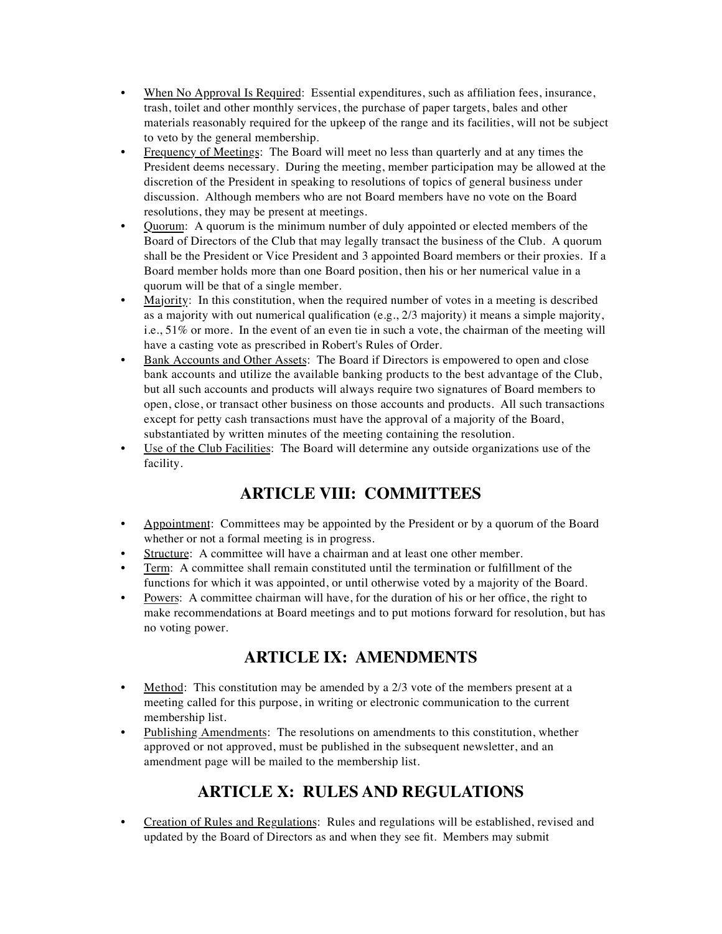- When No Approval Is Required: Essential expenditures, such as affiliation fees, insurance, trash, toilet and other monthly services, the purchase of paper targets, bales and other materials reasonably required for the upkeep of the range and its facilities, will not be subject to veto by the general membership.
- Frequency of Meetings: The Board will meet no less than quarterly and at any times the President deems necessary. During the meeting, member participation may be allowed at the discretion of the President in speaking to resolutions of topics of general business under discussion. Although members who are not Board members have no vote on the Board resolutions, they may be present at meetings.
- Quorum: A quorum is the minimum number of duly appointed or elected members of the Board of Directors of the Club that may legally transact the business of the Club. A quorum shall be the President or Vice President and 3 appointed Board members or their proxies. If a Board member holds more than one Board position, then his or her numerical value in a quorum will be that of a single member.
- Majority: In this constitution, when the required number of votes in a meeting is described as a majority with out numerical qualification (e.g., 2/3 majority) it means a simple majority, i.e., 51% or more. In the event of an even tie in such a vote, the chairman of the meeting will have a casting vote as prescribed in Robert's Rules of Order.
- Bank Accounts and Other Assets: The Board if Directors is empowered to open and close bank accounts and utilize the available banking products to the best advantage of the Club, but all such accounts and products will always require two signatures of Board members to open, close, or transact other business on those accounts and products. All such transactions except for petty cash transactions must have the approval of a majority of the Board, substantiated by written minutes of the meeting containing the resolution.
- Use of the Club Facilities: The Board will determine any outside organizations use of the facility.

# **ARTICLE VIII: COMMITTEES**

- Appointment: Committees may be appointed by the President or by a quorum of the Board whether or not a formal meeting is in progress.
- Structure: A committee will have a chairman and at least one other member.
- Term: A committee shall remain constituted until the termination or fulfillment of the functions for which it was appointed, or until otherwise voted by a majority of the Board.
- Powers: A committee chairman will have, for the duration of his or her office, the right to make recommendations at Board meetings and to put motions forward for resolution, but has no voting power.

# **ARTICLE IX: AMENDMENTS**

- Method: This constitution may be amended by a  $2/3$  vote of the members present at a meeting called for this purpose, in writing or electronic communication to the current membership list.
- Publishing Amendments: The resolutions on amendments to this constitution, whether approved or not approved, must be published in the subsequent newsletter, and an amendment page will be mailed to the membership list.

# **ARTICLE X: RULES AND REGULATIONS**

• Creation of Rules and Regulations: Rules and regulations will be established, revised and updated by the Board of Directors as and when they see fit. Members may submit